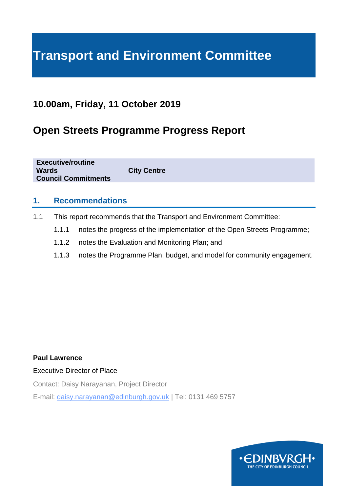# **Transport and Environment Committee**

# **10.00am, Friday, 11 October 2019**

# **Open Streets Programme Progress Report**

| <b>Executive/routine</b><br><b>Wards</b><br><b>Council Commitments</b> | <b>City Centre</b> |
|------------------------------------------------------------------------|--------------------|
|                                                                        |                    |

#### **1. Recommendations**

- 1.1 This report recommends that the Transport and Environment Committee:
	- 1.1.1 notes the progress of the implementation of the Open Streets Programme;
	- 1.1.2 notes the Evaluation and Monitoring Plan; and
	- 1.1.3 notes the Programme Plan, budget, and model for community engagement.

#### **Paul Lawrence**

#### Executive Director of Place

Contact: Daisy Narayanan, Project Director

E-mail: daisy.narayanan@edinburgh.gov.uk | Tel: 0131 469 5757

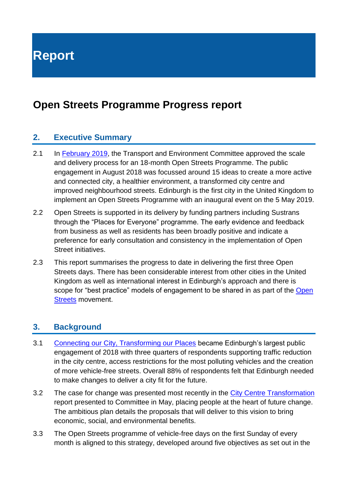**Report**

# **Open Streets Programme Progress report**

### **2. Executive Summary**

- 2.1 In [February 2019,](https://democracy.edinburgh.gov.uk/Data/Transport%20and%20Environment%20Committee/20190228/Agenda/$item_72_-_edinburgh_connecting_our_city_transforming_our_places_findings_of_public_engagement_and_next_steps.xls.pdf) the Transport and Environment Committee approved the scale and delivery process for an 18-month Open Streets Programme. The public engagement in August 2018 was focussed around 15 ideas to create a more active and connected city, a healthier environment, a transformed city centre and improved neighbourhood streets. Edinburgh is the first city in the United Kingdom to implement an Open Streets Programme with an inaugural event on the 5 May 2019.
- 2.2 Open Streets is supported in its delivery by funding partners including Sustrans through the "Places for Everyone" programme. The early evidence and feedback from business as well as residents has been broadly positive and indicate a preference for early consultation and consistency in the implementation of Open Street initiatives.
- 2.3 This report summarises the progress to date in delivering the first three Open Streets days. There has been considerable interest from other cities in the United Kingdom as well as international interest in Edinburgh's approach and there is scope for "best practice" models of engagement to be shared in as part of the Open [Streets](https://openstreetsproject.org/) movement.

#### **3. Background**

- 3.1 [Connecting our City, Transforming our Places](https://democracy.edinburgh.gov.uk/Data/Transport%20and%20Environment%20Committee/20180809/Agenda/item_78_-_edinburgh_connecting_our_city_transforming_our_places_-_public_engagement_on_city_mobility_plan_low_emissi.pdf) became Edinburgh's largest public engagement of 2018 with three quarters of respondents supporting traffic reduction in the city centre, access restrictions for the most polluting vehicles and the creation of more vehicle-free streets. Overall 88% of respondents felt that Edinburgh needed to make changes to deliver a city fit for the future.
- 3.2 The case for change was presented most recently in the [City Centre Transformation](https://democracy.edinburgh.gov.uk/Data/Transport%20and%20Environment%20Committee/20190516/Agenda/item_71_-_edinburgh_city_centre_transformation_-_proposed_strategy.pdf) report presented to Committee in May, placing people at the heart of future change. The ambitious plan details the proposals that will deliver to this vision to bring economic, social, and environmental benefits.
- 3.3 The Open Streets programme of vehicle-free days on the first Sunday of every month is aligned to this strategy, developed around five objectives as set out in the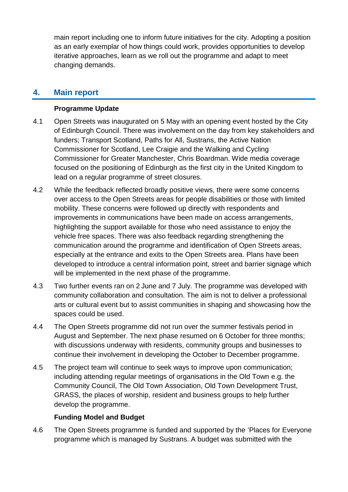main report including one to inform future initiatives for the city. Adopting a position as an early exemplar of how things could work, provides opportunities to develop iterative approaches, learn as we roll out the programme and adapt to meet changing demands.

## **4. Main report**

#### **Programme Update**

- 4.1 Open Streets was inaugurated on 5 May with an opening event hosted by the City of Edinburgh Council. There was involvement on the day from key stakeholders and funders; Transport Scotland, Paths for All, Sustrans, the Active Nation Commissioner for Scotland, Lee Craigie and the Walking and Cycling Commissioner for Greater Manchester, Chris Boardman. Wide media coverage focused on the positioning of Edinburgh as the first city in the United Kingdom to lead on a regular programme of street closures.
- 4.2 While the feedback reflected broadly positive views, there were some concerns over access to the Open Streets areas for people disabilities or those with limited mobility. These concerns were followed up directly with respondents and improvements in communications have been made on access arrangements, highlighting the support available for those who need assistance to enjoy the vehicle free spaces. There was also feedback regarding strengthening the communication around the programme and identification of Open Streets areas, especially at the entrance and exits to the Open Streets area. Plans have been developed to introduce a central information point, street and barrier signage which will be implemented in the next phase of the programme.
- 4.3 Two further events ran on 2 June and 7 July. The programme was developed with community collaboration and consultation. The aim is not to deliver a professional arts or cultural event but to assist communities in shaping and showcasing how the spaces could be used.
- 4.4 The Open Streets programme did not run over the summer festivals period in August and September. The next phase resumed on 6 October for three months; with discussions underway with residents, community groups and businesses to continue their involvement in developing the October to December programme.
- 4.5 The project team will continue to seek ways to improve upon communication; including attending regular meetings of organisations in the Old Town e.g. the Community Council, The Old Town Association, Old Town Development Trust, GRASS, the places of worship, resident and business groups to help further develop the programme.

#### **Funding Model and Budget**

4.6 The Open Streets programme is funded and supported by the 'Places for Everyone programme which is managed by Sustrans. A budget was submitted with the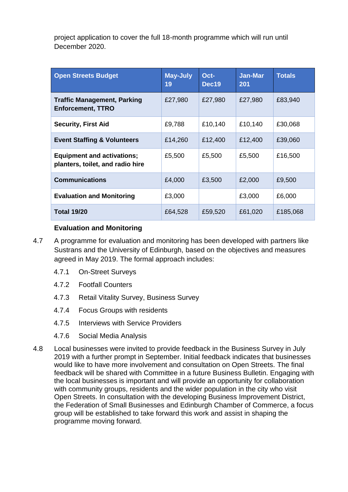project application to cover the full 18-month programme which will run until December 2020.

| <b>Open Streets Budget</b>                                            | <b>May-July</b><br>19 | Oct-<br>Dec19 | <b>Jan-Mar</b><br>201 | <b>Totals</b> |
|-----------------------------------------------------------------------|-----------------------|---------------|-----------------------|---------------|
| Traffic Management, Parking<br><b>Enforcement, TTRO</b>               | £27,980               | £27,980       | £27,980               | £83,940       |
| <b>Security, First Aid</b>                                            | £9,788                | £10,140       | £10,140               | £30,068       |
| <b>Event Staffing &amp; Volunteers</b>                                | £14,260               | £12,400       | £12,400               | £39,060       |
| <b>Equipment and activations;</b><br>planters, toilet, and radio hire | £5,500                | £5,500        | £5,500                | £16,500       |
| <b>Communications</b>                                                 | £4,000                | £3,500        | £2,000                | £9,500        |
| <b>Evaluation and Monitoring</b>                                      | £3,000                |               | £3,000                | £6,000        |
| <b>Total 19/20</b>                                                    | £64,528               | £59,520       | £61,020               | £185,068      |

#### **Evaluation and Monitoring**

- 4.7 A programme for evaluation and monitoring has been developed with partners like Sustrans and the University of Edinburgh, based on the objectives and measures agreed in May 2019. The formal approach includes:
	- 4.7.1 On-Street Surveys
	- 4.7.2 Footfall Counters
	- 4.7.3 Retail Vitality Survey, Business Survey
	- 4.7.4 Focus Groups with residents
	- 4.7.5 Interviews with Service Providers
	- 4.7.6 Social Media Analysis
- 4.8 Local businesses were invited to provide feedback in the Business Survey in July 2019 with a further prompt in September. Initial feedback indicates that businesses would like to have more involvement and consultation on Open Streets. The final feedback will be shared with Committee in a future Business Bulletin. Engaging with the local businesses is important and will provide an opportunity for collaboration with community groups, residents and the wider population in the city who visit Open Streets. In consultation with the developing Business Improvement District, the Federation of Small Businesses and Edinburgh Chamber of Commerce, a focus group will be established to take forward this work and assist in shaping the programme moving forward.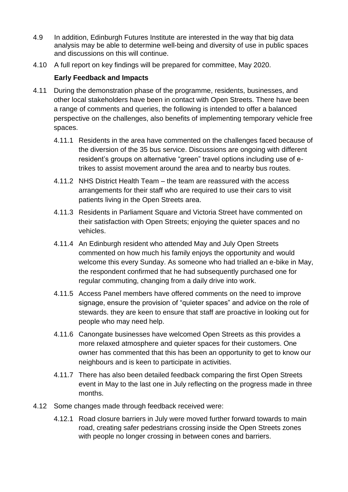- 4.9 In addition, Edinburgh Futures Institute are interested in the way that big data analysis may be able to determine well-being and diversity of use in public spaces and discussions on this will continue.
- 4.10 A full report on key findings will be prepared for committee, May 2020.

#### **Early Feedback and Impacts**

- 4.11 During the demonstration phase of the programme, residents, businesses, and other local stakeholders have been in contact with Open Streets. There have been a range of comments and queries, the following is intended to offer a balanced perspective on the challenges, also benefits of implementing temporary vehicle free spaces.
	- 4.11.1 Residents in the area have commented on the challenges faced because of the diversion of the 35 bus service. Discussions are ongoing with different resident's groups on alternative "green" travel options including use of etrikes to assist movement around the area and to nearby bus routes.
	- 4.11.2 NHS District Health Team the team are reassured with the access arrangements for their staff who are required to use their cars to visit patients living in the Open Streets area.
	- 4.11.3 Residents in Parliament Square and Victoria Street have commented on their satisfaction with Open Streets; enjoying the quieter spaces and no vehicles.
	- 4.11.4 An Edinburgh resident who attended May and July Open Streets commented on how much his family enjoys the opportunity and would welcome this every Sunday. As someone who had trialled an e-bike in May, the respondent confirmed that he had subsequently purchased one for regular commuting, changing from a daily drive into work.
	- 4.11.5 Access Panel members have offered comments on the need to improve signage, ensure the provision of "quieter spaces" and advice on the role of stewards. they are keen to ensure that staff are proactive in looking out for people who may need help.
	- 4.11.6 Canongate businesses have welcomed Open Streets as this provides a more relaxed atmosphere and quieter spaces for their customers. One owner has commented that this has been an opportunity to get to know our neighbours and is keen to participate in activities.
	- 4.11.7 There has also been detailed feedback comparing the first Open Streets event in May to the last one in July reflecting on the progress made in three months.
- 4.12 Some changes made through feedback received were:
	- 4.12.1 Road closure barriers in July were moved further forward towards to main road, creating safer pedestrians crossing inside the Open Streets zones with people no longer crossing in between cones and barriers.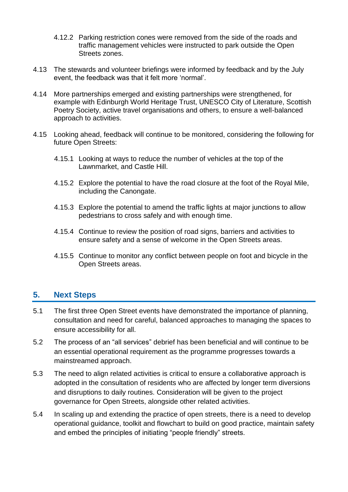- 4.12.2 Parking restriction cones were removed from the side of the roads and traffic management vehicles were instructed to park outside the Open Streets zones.
- 4.13 The stewards and volunteer briefings were informed by feedback and by the July event, the feedback was that it felt more 'normal'.
- 4.14 More partnerships emerged and existing partnerships were strengthened, for example with Edinburgh World Heritage Trust, UNESCO City of Literature, Scottish Poetry Society, active travel organisations and others, to ensure a well-balanced approach to activities.
- 4.15 Looking ahead, feedback will continue to be monitored, considering the following for future Open Streets:
	- 4.15.1 Looking at ways to reduce the number of vehicles at the top of the Lawnmarket, and Castle Hill.
	- 4.15.2 Explore the potential to have the road closure at the foot of the Royal Mile, including the Canongate.
	- 4.15.3 Explore the potential to amend the traffic lights at major junctions to allow pedestrians to cross safely and with enough time.
	- 4.15.4 Continue to review the position of road signs, barriers and activities to ensure safety and a sense of welcome in the Open Streets areas.
	- 4.15.5 Continue to monitor any conflict between people on foot and bicycle in the Open Streets areas.

### **5. Next Steps**

- 5.1 The first three Open Street events have demonstrated the importance of planning, consultation and need for careful, balanced approaches to managing the spaces to ensure accessibility for all.
- 5.2 The process of an "all services" debrief has been beneficial and will continue to be an essential operational requirement as the programme progresses towards a mainstreamed approach.
- 5.3 The need to align related activities is critical to ensure a collaborative approach is adopted in the consultation of residents who are affected by longer term diversions and disruptions to daily routines. Consideration will be given to the project governance for Open Streets, alongside other related activities.
- 5.4 In scaling up and extending the practice of open streets, there is a need to develop operational guidance, toolkit and flowchart to build on good practice, maintain safety and embed the principles of initiating "people friendly" streets.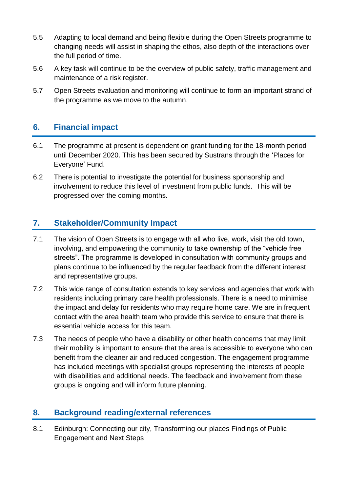- 5.5 Adapting to local demand and being flexible during the Open Streets programme to changing needs will assist in shaping the ethos, also depth of the interactions over the full period of time.
- 5.6 A key task will continue to be the overview of public safety, traffic management and maintenance of a risk register.
- 5.7 Open Streets evaluation and monitoring will continue to form an important strand of the programme as we move to the autumn.

# **6. Financial impact**

- 6.1 The programme at present is dependent on grant funding for the 18-month period until December 2020. This has been secured by Sustrans through the 'Places for Everyone' Fund.
- 6.2 There is potential to investigate the potential for business sponsorship and involvement to reduce this level of investment from public funds. This will be progressed over the coming months.

# **7. Stakeholder/Community Impact**

- 7.1 The vision of Open Streets is to engage with all who live, work, visit the old town, involving, and empowering the community to take ownership of the "vehicle free streets". The programme is developed in consultation with community groups and plans continue to be influenced by the regular feedback from the different interest and representative groups.
- 7.2 This wide range of consultation extends to key services and agencies that work with residents including primary care health professionals. There is a need to minimise the impact and delay for residents who may require home care. We are in frequent contact with the area health team who provide this service to ensure that there is essential vehicle access for this team.
- 7.3 The needs of people who have a disability or other health concerns that may limit their mobility is important to ensure that the area is accessible to everyone who can benefit from the cleaner air and reduced congestion. The engagement programme has included meetings with specialist groups representing the interests of people with disabilities and additional needs. The feedback and involvement from these groups is ongoing and will inform future planning.

### **8. Background reading/external references**

8.1 Edinburgh: Connecting our city, Transforming our places Findings of Public Engagement and Next Steps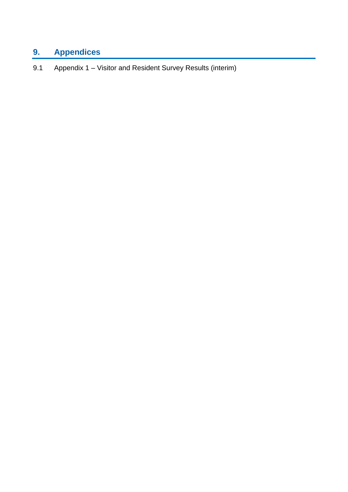# **9. Appendices**

9.1 Appendix 1 – Visitor and Resident Survey Results (interim)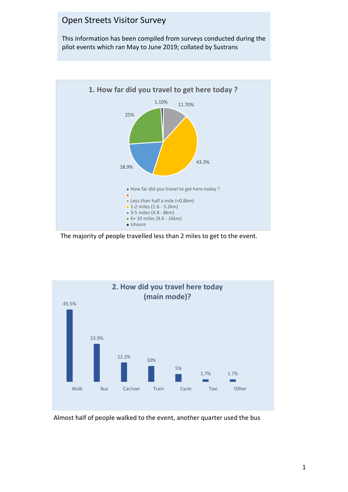# Open Streets Visitor Survey

This information has been compiled from surveys conducted during the pilot events which ran May to June 2019; collated by Sustrans



The majority of people travelled less than 2 miles to get to the event.



Almost half of people walked to the event, another quarter used the bus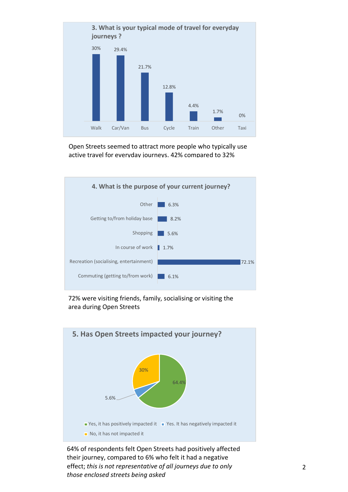

Open Streets seemed to attract more people who typically use active travel for everyday journeys. 42% compared to 32%



72% were visiting friends, family, socialising or visiting the area during Open Streets



64% of respondents felt Open Streets had positively affected their journey, compared to 6% who felt it had a negative effect; *this is not representative of all journeys due to only those enclosed streets being asked*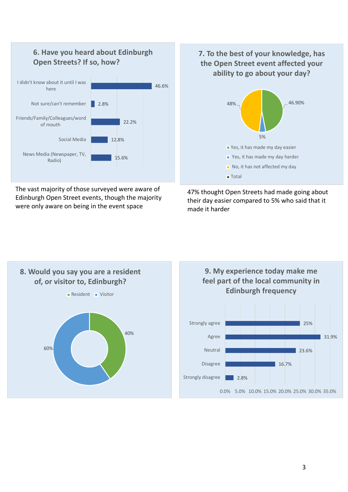

The vast majority of those surveyed were aware of Edinburgh Open Street events, though the majority were only aware on being in the event space

**7. To the best of your knowledge, has the Open Street event affected your ability to go about your day?** 



47% thought Open Streets had made going about their day easier compared to 5% who said that it made it harder